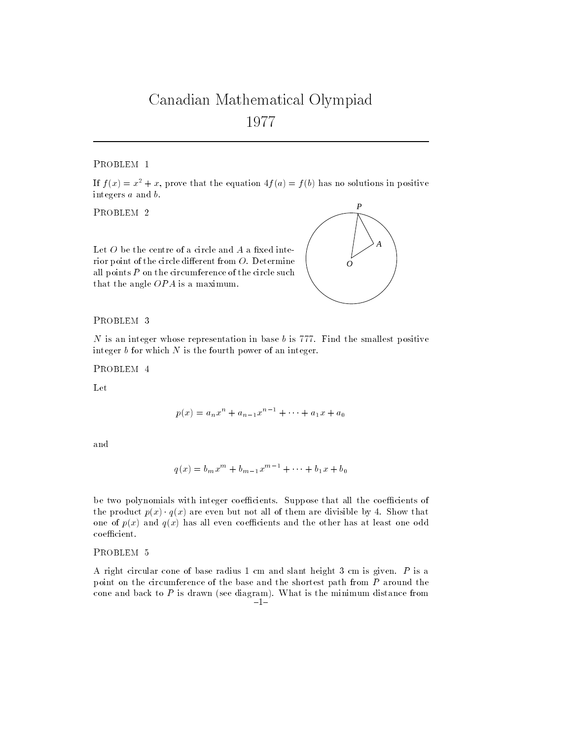## Canadian Mathematical Olympiad <sup>1977</sup>

PROBLEM 1

If  $f(x) = x^2 + x$ , prove that the equation  $4f(a) = f(b)$  has no solutions in positive integers a and b.

PROBLEM 2

Let  $O$  be the centre of a circle and  $A$  a fixed interior point of the circle different from  $O$ . Determine all points  $P$  on the circumference of the circle such that the angle OPA is a maximum.



 $N$  is an integer whose representation in base  $b$  is 777. Find the smallest positive integer  $b$  for which  $N$  is the fourth power of an integer.

PROBLEM 4

Let

$$
p(x) = a_n x^n + a_{n-1} x^{n-1} + \dots + a_1 x + a_0
$$

and

$$
q(x) = b_m x^m + b_{m-1} x^{m-1} + \dots + b_1 x + b_0
$$

be two polynomials with integer coefficients. Suppose that all the coefficients of the product  $p(x) \cdot q(x)$  are even but not all of them are divisible by 4. Show that one of  $p(x)$  and  $q(x)$  has all even coefficients and the other has at least one odd  $coefficient.$ 

PROBLEM<sub>5</sub>

A right circular cone of base radius 1 cm and slant height 3 cm is given. P is a point on the circumference of the base and the shortest path from P around the cone and back to  $P$  is drawn (see diagram). What is the minimum distance from  $-1-$